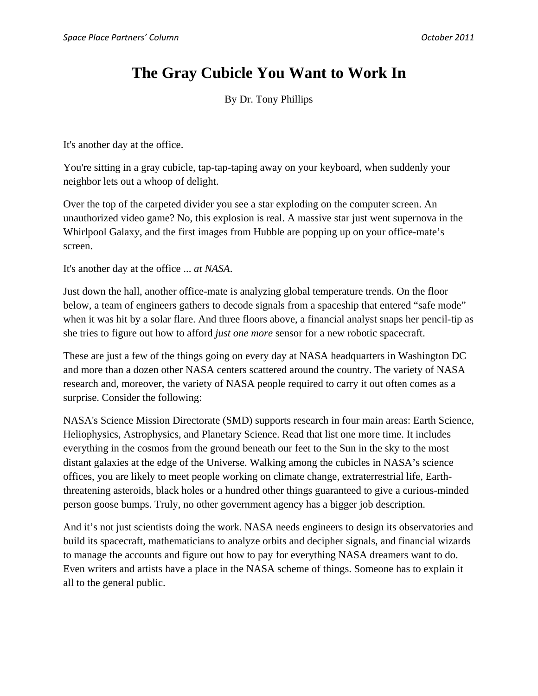## **The Gray Cubicle You Want to Work In**

By Dr. Tony Phillips

It's another day at the office.

You're sitting in a gray cubicle, tap-tap-taping away on your keyboard, when suddenly your neighbor lets out a whoop of delight.

Over the top of the carpeted divider you see a star exploding on the computer screen. An unauthorized video game? No, this explosion is real. A massive star just went supernova in the Whirlpool Galaxy, and the first images from Hubble are popping up on your office-mate's screen.

It's another day at the office ... *at NASA*.

Just down the hall, another office-mate is analyzing global temperature trends. On the floor below, a team of engineers gathers to decode signals from a spaceship that entered "safe mode" when it was hit by a solar flare. And three floors above, a financial analyst snaps her pencil-tip as she tries to figure out how to afford *just one more* sensor for a new robotic spacecraft.

These are just a few of the things going on every day at NASA headquarters in Washington DC and more than a dozen other NASA centers scattered around the country. The variety of NASA research and, moreover, the variety of NASA people required to carry it out often comes as a surprise. Consider the following:

NASA's Science Mission Directorate (SMD) supports research in four main areas: Earth Science, Heliophysics, Astrophysics, and Planetary Science. Read that list one more time. It includes everything in the cosmos from the ground beneath our feet to the Sun in the sky to the most distant galaxies at the edge of the Universe. Walking among the cubicles in NASA's science offices, you are likely to meet people working on climate change, extraterrestrial life, Earththreatening asteroids, black holes or a hundred other things guaranteed to give a curious-minded person goose bumps. Truly, no other government agency has a bigger job description.

And it's not just scientists doing the work. NASA needs engineers to design its observatories and build its spacecraft, mathematicians to analyze orbits and decipher signals, and financial wizards to manage the accounts and figure out how to pay for everything NASA dreamers want to do. Even writers and artists have a place in the NASA scheme of things. Someone has to explain it all to the general public.